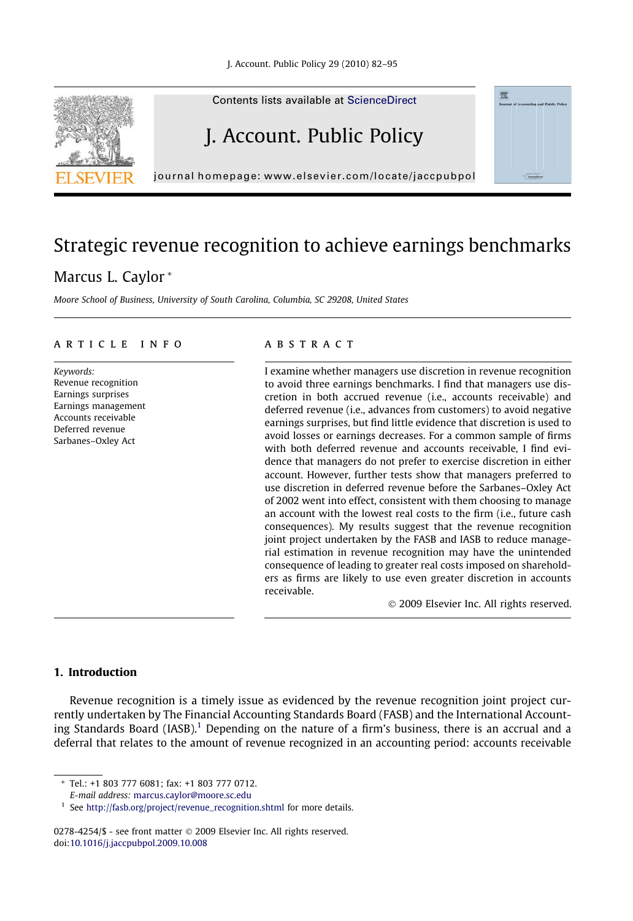

Contents lists available at [ScienceDirect](http://www.sciencedirect.com/science/journal/02784254)

## J. Account. Public Policy

journal homepage: [www.elsevier.com/locate/jaccpubpol](http://www.elsevier.com/locate/jaccpubpol)

## Strategic revenue recognition to achieve earnings benchmarks

### Marcus L. Caylor \*

Moore School of Business, University of South Carolina, Columbia, SC 29208, United States

#### article info

Keywords: Revenue recognition Earnings surprises Earnings management Accounts receivable Deferred revenue Sarbanes–Oxley Act

#### **ABSTRACT**

I examine whether managers use discretion in revenue recognition to avoid three earnings benchmarks. I find that managers use discretion in both accrued revenue (i.e., accounts receivable) and deferred revenue (i.e., advances from customers) to avoid negative earnings surprises, but find little evidence that discretion is used to avoid losses or earnings decreases. For a common sample of firms with both deferred revenue and accounts receivable, I find evidence that managers do not prefer to exercise discretion in either account. However, further tests show that managers preferred to use discretion in deferred revenue before the Sarbanes–Oxley Act of 2002 went into effect, consistent with them choosing to manage an account with the lowest real costs to the firm (i.e., future cash consequences). My results suggest that the revenue recognition joint project undertaken by the FASB and IASB to reduce managerial estimation in revenue recognition may have the unintended consequence of leading to greater real costs imposed on shareholders as firms are likely to use even greater discretion in accounts receivable.

- 2009 Elsevier Inc. All rights reserved.

雁

#### 1. Introduction

Revenue recognition is a timely issue as evidenced by the revenue recognition joint project currently undertaken by The Financial Accounting Standards Board (FASB) and the International Accounting Standards Board (IASB).<sup>1</sup> Depending on the nature of a firm's business, there is an accrual and a deferral that relates to the amount of revenue recognized in an accounting period: accounts receivable

0278-4254/\$ - see front matter © 2009 Elsevier Inc. All rights reserved. doi:[10.1016/j.jaccpubpol.2009.10.008](http://dx.doi.org/10.1016/j.jaccpubpol.2009.10.008)

<sup>\*</sup> Tel.: +1 803 777 6081; fax: +1 803 777 0712.

E-mail address: [marcus.caylor@moore.sc.edu](mailto:marcus.caylor@moore.sc.edu)

<sup>&</sup>lt;sup>1</sup> See [http://fasb.org/project/revenue\\_recognition.shtml](http://fasb.org/project/revenue_recognition.shtml) for more details.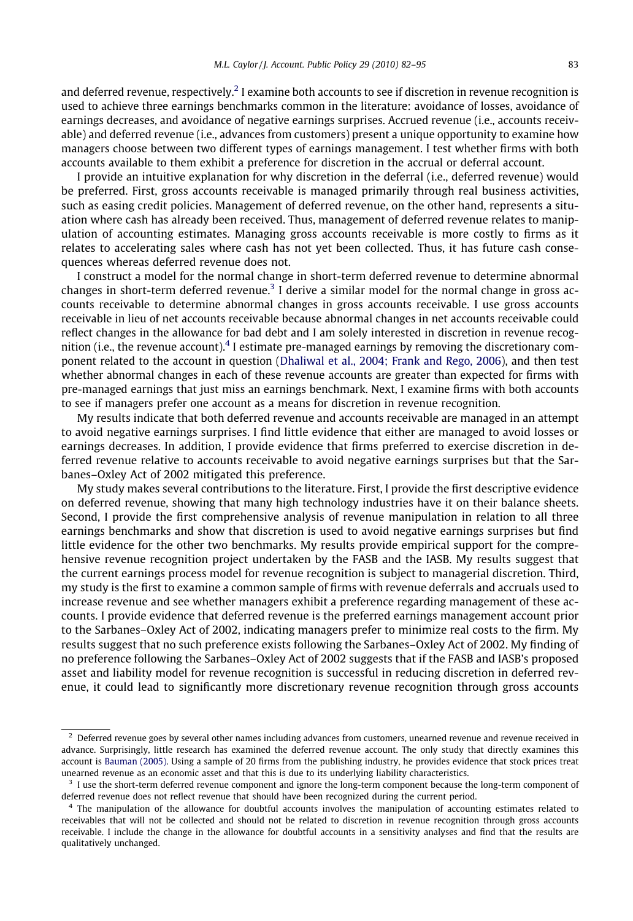and deferred revenue, respectively.<sup>2</sup> I examine both accounts to see if discretion in revenue recognition is used to achieve three earnings benchmarks common in the literature: avoidance of losses, avoidance of earnings decreases, and avoidance of negative earnings surprises. Accrued revenue (i.e., accounts receivable) and deferred revenue (i.e., advances from customers) present a unique opportunity to examine how managers choose between two different types of earnings management. I test whether firms with both accounts available to them exhibit a preference for discretion in the accrual or deferral account.

I provide an intuitive explanation for why discretion in the deferral (i.e., deferred revenue) would be preferred. First, gross accounts receivable is managed primarily through real business activities, such as easing credit policies. Management of deferred revenue, on the other hand, represents a situation where cash has already been received. Thus, management of deferred revenue relates to manipulation of accounting estimates. Managing gross accounts receivable is more costly to firms as it relates to accelerating sales where cash has not yet been collected. Thus, it has future cash consequences whereas deferred revenue does not.

I construct a model for the normal change in short-term deferred revenue to determine abnormal changes in short-term deferred revenue.<sup>3</sup> I derive a similar model for the normal change in gross accounts receivable to determine abnormal changes in gross accounts receivable. I use gross accounts receivable in lieu of net accounts receivable because abnormal changes in net accounts receivable could reflect changes in the allowance for bad debt and I am solely interested in discretion in revenue recognition (i.e., the revenue account).<sup>4</sup> I estimate pre-managed earnings by removing the discretionary component related to the account in question [\(Dhaliwal et al., 2004; Frank and Rego, 2006\)](#page--1-0), and then test whether abnormal changes in each of these revenue accounts are greater than expected for firms with pre-managed earnings that just miss an earnings benchmark. Next, I examine firms with both accounts to see if managers prefer one account as a means for discretion in revenue recognition.

My results indicate that both deferred revenue and accounts receivable are managed in an attempt to avoid negative earnings surprises. I find little evidence that either are managed to avoid losses or earnings decreases. In addition, I provide evidence that firms preferred to exercise discretion in deferred revenue relative to accounts receivable to avoid negative earnings surprises but that the Sarbanes–Oxley Act of 2002 mitigated this preference.

My study makes several contributions to the literature. First, I provide the first descriptive evidence on deferred revenue, showing that many high technology industries have it on their balance sheets. Second, I provide the first comprehensive analysis of revenue manipulation in relation to all three earnings benchmarks and show that discretion is used to avoid negative earnings surprises but find little evidence for the other two benchmarks. My results provide empirical support for the comprehensive revenue recognition project undertaken by the FASB and the IASB. My results suggest that the current earnings process model for revenue recognition is subject to managerial discretion. Third, my study is the first to examine a common sample of firms with revenue deferrals and accruals used to increase revenue and see whether managers exhibit a preference regarding management of these accounts. I provide evidence that deferred revenue is the preferred earnings management account prior to the Sarbanes–Oxley Act of 2002, indicating managers prefer to minimize real costs to the firm. My results suggest that no such preference exists following the Sarbanes–Oxley Act of 2002. My finding of no preference following the Sarbanes–Oxley Act of 2002 suggests that if the FASB and IASB's proposed asset and liability model for revenue recognition is successful in reducing discretion in deferred revenue, it could lead to significantly more discretionary revenue recognition through gross accounts

 $2$  Deferred revenue goes by several other names including advances from customers, unearned revenue and revenue received in advance. Surprisingly, little research has examined the deferred revenue account. The only study that directly examines this account is [Bauman \(2005\)](#page--1-0). Using a sample of 20 firms from the publishing industry, he provides evidence that stock prices treat unearned revenue as an economic asset and that this is due to its underlying liability characteristics.

<sup>3</sup> I use the short-term deferred revenue component and ignore the long-term component because the long-term component of deferred revenue does not reflect revenue that should have been recognized during the current period.

<sup>&</sup>lt;sup>4</sup> The manipulation of the allowance for doubtful accounts involves the manipulation of accounting estimates related to receivables that will not be collected and should not be related to discretion in revenue recognition through gross accounts receivable. I include the change in the allowance for doubtful accounts in a sensitivity analyses and find that the results are qualitatively unchanged.